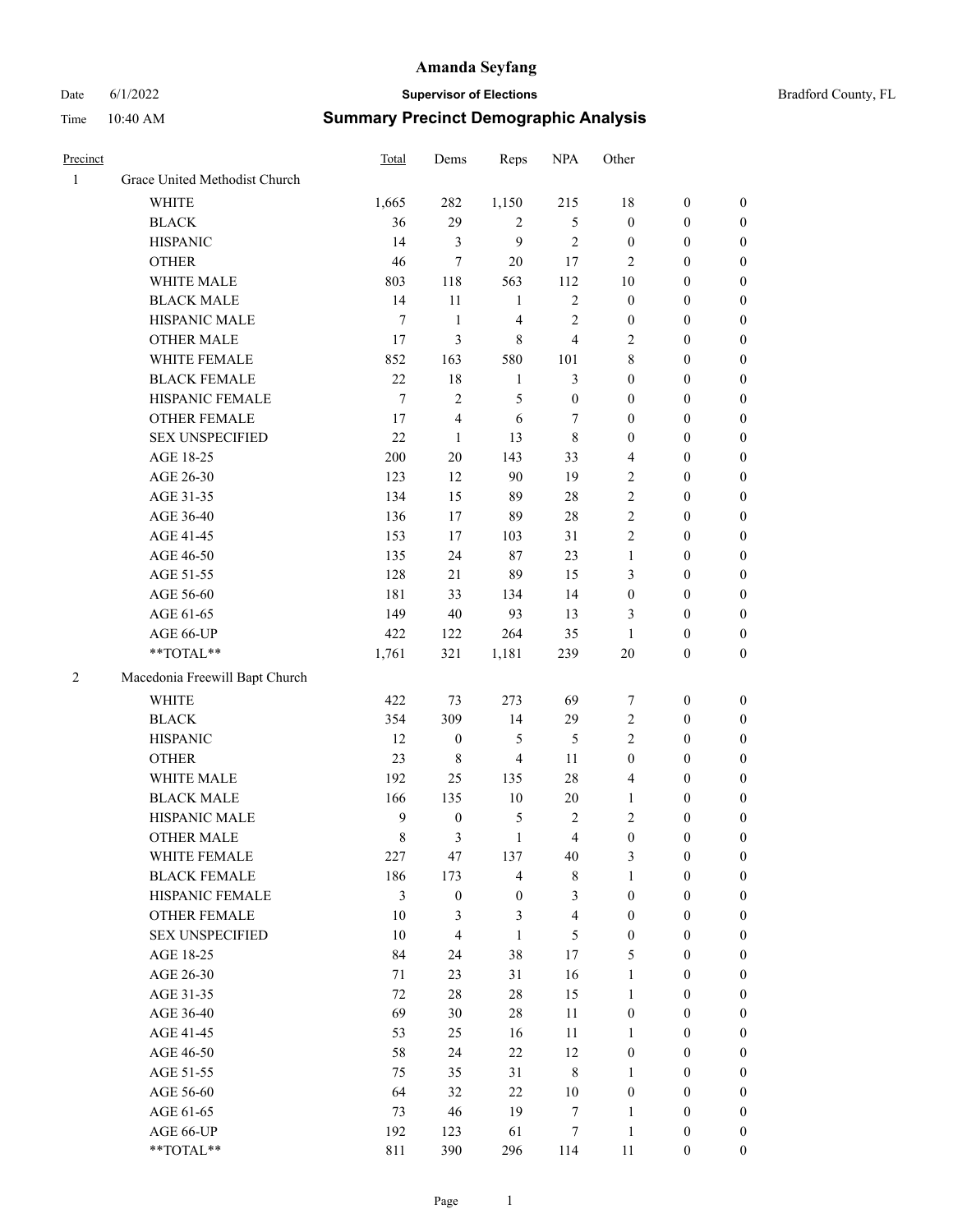# Date 6/1/2022 **Supervisor of Elections** Time 10:40 AM **Summary Precinct Demographic Analysis**

| Precinct       |                                | <b>Total</b> | Dems             | Reps             | <b>NPA</b>       | Other            |                  |                  |
|----------------|--------------------------------|--------------|------------------|------------------|------------------|------------------|------------------|------------------|
| $\mathbf{1}$   | Grace United Methodist Church  |              |                  |                  |                  |                  |                  |                  |
|                | <b>WHITE</b>                   | 1,665        | 282              | 1,150            | 215              | 18               | $\boldsymbol{0}$ | 0                |
|                | <b>BLACK</b>                   | 36           | 29               | 2                | 5                | $\boldsymbol{0}$ | $\boldsymbol{0}$ | 0                |
|                | <b>HISPANIC</b>                | 14           | 3                | 9                | 2                | $\boldsymbol{0}$ | $\mathbf{0}$     | $\boldsymbol{0}$ |
|                | <b>OTHER</b>                   | 46           | 7                | 20               | 17               | 2                | $\overline{0}$   | $\boldsymbol{0}$ |
|                | WHITE MALE                     | 803          | 118              | 563              | 112              | 10               | $\boldsymbol{0}$ | $\boldsymbol{0}$ |
|                | <b>BLACK MALE</b>              | 14           | 11               | $\mathbf{1}$     | $\overline{c}$   | $\boldsymbol{0}$ | 0                | $\boldsymbol{0}$ |
|                | HISPANIC MALE                  | $\tau$       | $\mathbf{1}$     | 4                | 2                | $\boldsymbol{0}$ | 0                | $\boldsymbol{0}$ |
|                | <b>OTHER MALE</b>              | 17           | 3                | 8                | 4                | 2                | $\boldsymbol{0}$ | $\boldsymbol{0}$ |
|                | WHITE FEMALE                   | 852          | 163              | 580              | 101              | 8                | $\mathbf{0}$     | $\boldsymbol{0}$ |
|                | <b>BLACK FEMALE</b>            | 22           | $18\,$           | $\mathbf{1}$     | 3                | $\boldsymbol{0}$ | $\boldsymbol{0}$ | $\boldsymbol{0}$ |
|                | HISPANIC FEMALE                | 7            | 2                | 5                | $\boldsymbol{0}$ | $\overline{0}$   | $\boldsymbol{0}$ | $\boldsymbol{0}$ |
|                | <b>OTHER FEMALE</b>            | 17           | 4                | 6                | 7                | $\overline{0}$   | $\boldsymbol{0}$ | $\boldsymbol{0}$ |
|                | <b>SEX UNSPECIFIED</b>         | 22           | $\mathbf{1}$     | 13               | 8                | $\boldsymbol{0}$ | $\mathbf{0}$     | $\boldsymbol{0}$ |
|                | AGE 18-25                      | 200          | $20\,$           | 143              | 33               | 4                | $\mathbf{0}$     | $\boldsymbol{0}$ |
|                | AGE 26-30                      | 123          | 12               | 90               | 19               | 2                | $\boldsymbol{0}$ | $\boldsymbol{0}$ |
|                | AGE 31-35                      | 134          | 15               | 89               | 28               | 2                | 0                | $\boldsymbol{0}$ |
|                | AGE 36-40                      | 136          | 17               | 89               | 28               | 2                | 0                | $\boldsymbol{0}$ |
|                | AGE 41-45                      | 153          | 17               | 103              | 31               | 2                | $\boldsymbol{0}$ | $\overline{0}$   |
|                | AGE 46-50                      | 135          | 24               | 87               | 23               | $\mathbf{1}$     | $\mathbf{0}$     | $\boldsymbol{0}$ |
|                | AGE 51-55                      | 128          | 21               | 89               | 15               | 3                | $\boldsymbol{0}$ | $\boldsymbol{0}$ |
|                | AGE 56-60                      | 181          | 33               | 134              | 14               | $\boldsymbol{0}$ | 0                | 0                |
|                | AGE 61-65                      | 149          | 40               | 93               | 13               | 3                | $\overline{0}$   | 0                |
|                | AGE 66-UP                      | 422          | 122              | 264              | 35               | $\mathbf{1}$     | $\mathbf{0}$     | $\boldsymbol{0}$ |
|                | **TOTAL**                      | 1,761        | 321              | 1,181            | 239              | 20               | $\boldsymbol{0}$ | $\boldsymbol{0}$ |
| $\overline{2}$ | Macedonia Freewill Bapt Church |              |                  |                  |                  |                  |                  |                  |
|                | <b>WHITE</b>                   | 422          | 73               | 273              | 69               | 7                | $\mathbf{0}$     | $\boldsymbol{0}$ |
|                | <b>BLACK</b>                   | 354          | 309              | 14               | 29               | 2                | $\boldsymbol{0}$ | $\boldsymbol{0}$ |
|                | <b>HISPANIC</b>                | 12           | $\boldsymbol{0}$ | 5                | 5                | $\overline{2}$   | $\boldsymbol{0}$ | $\boldsymbol{0}$ |
|                | <b>OTHER</b>                   | 23           | 8                | 4                | 11               | 0                | 0                | $\boldsymbol{0}$ |
|                | WHITE MALE                     | 192          | 25               | 135              | 28               | 4                | $\boldsymbol{0}$ | $\boldsymbol{0}$ |
|                | <b>BLACK MALE</b>              | 166          | 135              | $10\,$           | 20               | $\mathbf{1}$     | $\boldsymbol{0}$ | $\boldsymbol{0}$ |
|                | HISPANIC MALE                  | 9            | $\boldsymbol{0}$ | 5                | 2                | 2                | $\boldsymbol{0}$ | 0                |
|                | <b>OTHER MALE</b>              | 8            | 3                | $\mathbf{1}$     | 4                | $\boldsymbol{0}$ | $\boldsymbol{0}$ | $\boldsymbol{0}$ |
|                | WHITE FEMALE                   | 227          | 47               | 137              | 40               | 3                | 0                | 0                |
|                | <b>BLACK FEMALE</b>            | 186          | 173              | 4                | 8                | $\mathbf{1}$     | $\mathbf{0}$     | $\overline{0}$   |
|                | HISPANIC FEMALE                | 3            | $\boldsymbol{0}$ | $\boldsymbol{0}$ | 3                | $\boldsymbol{0}$ | $\mathbf{0}$     | $\theta$         |
|                | OTHER FEMALE                   | $10\,$       | 3                | 3                | 4                | $\overline{0}$   | $\mathbf{0}$     | 0                |
|                | <b>SEX UNSPECIFIED</b>         | 10           | 4                | $\mathbf{1}$     | 5                | $\boldsymbol{0}$ | $\boldsymbol{0}$ | 0                |
|                | AGE 18-25                      | 84           | 24               | 38               | 17               | 5                | 0                | 0                |
|                | AGE 26-30                      | 71           | 23               | 31               | 16               | $\mathbf{1}$     | $\mathbf{0}$     | 0                |
|                | AGE 31-35                      | 72           | $28\,$           | 28               | 15               | $\mathbf{1}$     | $\mathbf{0}$     | 0                |
|                | AGE 36-40                      | 69           | 30               | $28\,$           | $11\,$           | $\boldsymbol{0}$ | $\boldsymbol{0}$ | 0                |
|                | AGE 41-45                      | 53           | 25               | 16               | $11\,$           | $\mathbf{1}$     | $\boldsymbol{0}$ | 0                |
|                | AGE 46-50                      | 58           | 24               | $22\,$           | 12               | $\boldsymbol{0}$ | 0                | 0                |
|                | AGE 51-55                      | 75           | 35               | 31               | 8                | 1                | $\mathbf{0}$     | $\overline{0}$   |
|                | AGE 56-60                      | 64           | 32               | 22               | $10\,$           | $\boldsymbol{0}$ | $\mathbf{0}$     | $\boldsymbol{0}$ |
|                | AGE 61-65                      | 73           | 46               | 19               | 7                | $\mathbf{1}$     | $\boldsymbol{0}$ | $\boldsymbol{0}$ |
|                | AGE 66-UP                      | 192          | 123              | 61               | $\boldsymbol{7}$ | $\mathbf{1}$     | $\mathbf{0}$     | $\boldsymbol{0}$ |
|                |                                |              |                  |                  |                  |                  |                  |                  |

\*\*TOTAL\*\* 811 390 296 114 11 0 0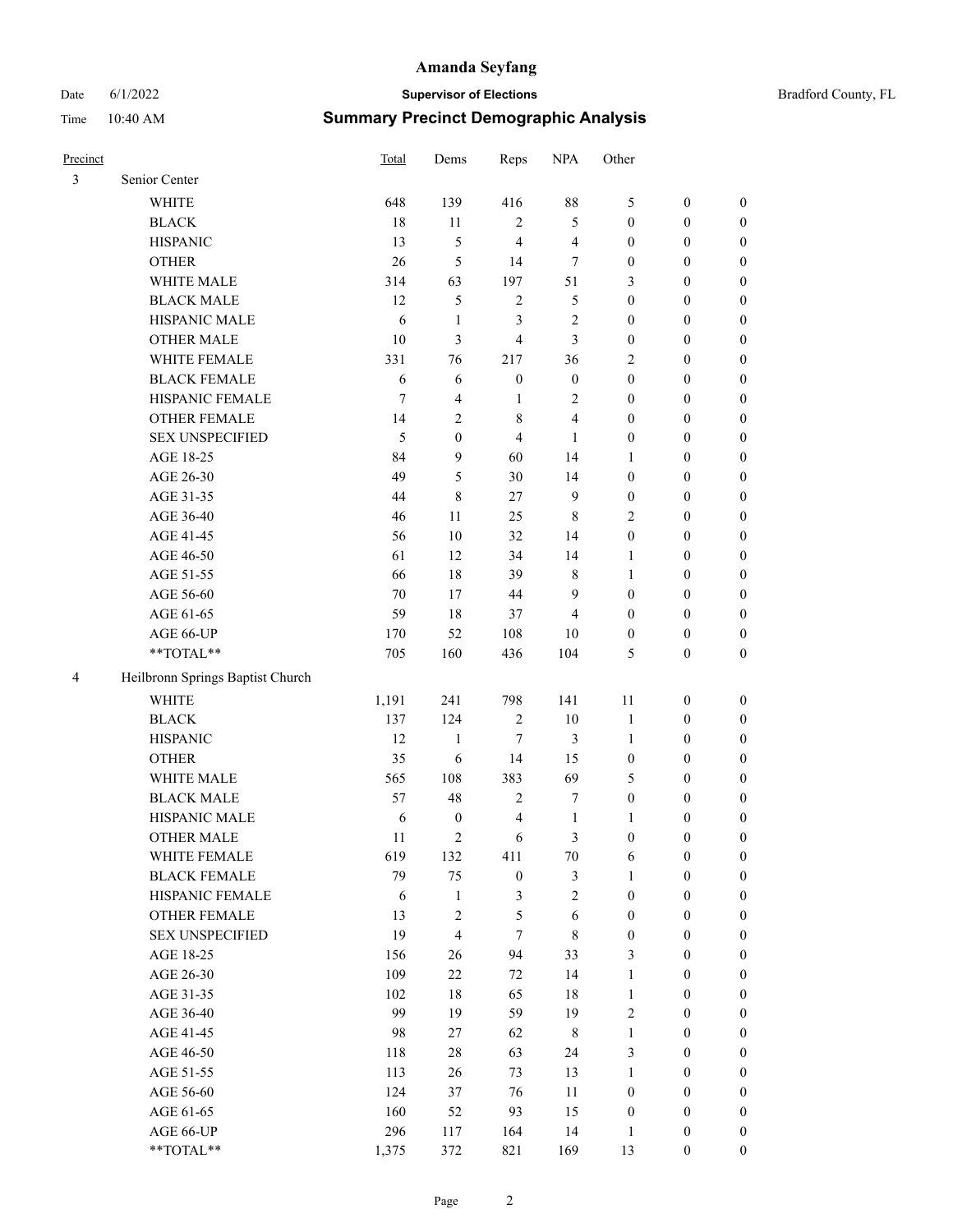# Date 6/1/2022 **Supervisor of Elections** Bradford County, FL Time 10:40 AM **Summary Precinct Demographic Analysis**

| Precinct |                                  | Total      | Dems                    | Reps             | <b>NPA</b>       | Other            |                  |                  |
|----------|----------------------------------|------------|-------------------------|------------------|------------------|------------------|------------------|------------------|
| 3        | Senior Center                    |            |                         |                  |                  |                  |                  |                  |
|          | <b>WHITE</b>                     | 648        | 139                     | 416              | 88               | 5                | $\boldsymbol{0}$ | $\boldsymbol{0}$ |
|          | <b>BLACK</b>                     | 18         | 11                      | $\sqrt{2}$       | 5                | $\boldsymbol{0}$ | $\boldsymbol{0}$ | $\boldsymbol{0}$ |
|          | <b>HISPANIC</b>                  | 13         | 5                       | $\overline{4}$   | $\overline{4}$   | $\boldsymbol{0}$ | $\boldsymbol{0}$ | $\boldsymbol{0}$ |
|          | <b>OTHER</b>                     | 26         | 5                       | 14               | $\tau$           | $\boldsymbol{0}$ | $\boldsymbol{0}$ | $\boldsymbol{0}$ |
|          | WHITE MALE                       | 314        | 63                      | 197              | 51               | 3                | $\boldsymbol{0}$ | $\boldsymbol{0}$ |
|          | <b>BLACK MALE</b>                | 12         | 5                       | $\overline{2}$   | 5                | $\boldsymbol{0}$ | $\boldsymbol{0}$ | $\boldsymbol{0}$ |
|          | HISPANIC MALE                    | 6          | $\mathbf{1}$            | 3                | $\sqrt{2}$       | $\boldsymbol{0}$ | $\boldsymbol{0}$ | $\boldsymbol{0}$ |
|          | <b>OTHER MALE</b>                | 10         | 3                       | $\overline{4}$   | 3                | $\boldsymbol{0}$ | $\boldsymbol{0}$ | $\boldsymbol{0}$ |
|          | WHITE FEMALE                     | 331        | 76                      | 217              | 36               | 2                | $\boldsymbol{0}$ | $\boldsymbol{0}$ |
|          | <b>BLACK FEMALE</b>              | 6          | 6                       | $\boldsymbol{0}$ | $\boldsymbol{0}$ | $\boldsymbol{0}$ | $\boldsymbol{0}$ | $\boldsymbol{0}$ |
|          | HISPANIC FEMALE                  | 7          | 4                       | $\mathbf{1}$     | 2                | $\boldsymbol{0}$ | $\boldsymbol{0}$ | $\boldsymbol{0}$ |
|          | OTHER FEMALE                     | 14         | $\overline{c}$          | 8                | 4                | $\boldsymbol{0}$ | $\boldsymbol{0}$ | $\boldsymbol{0}$ |
|          | <b>SEX UNSPECIFIED</b>           | 5          | $\mathbf{0}$            | $\overline{4}$   | 1                | $\boldsymbol{0}$ | $\boldsymbol{0}$ | $\boldsymbol{0}$ |
|          | AGE 18-25                        | 84         | 9                       | 60               | 14               | $\mathbf{1}$     | $\boldsymbol{0}$ | $\boldsymbol{0}$ |
|          | AGE 26-30                        | 49         | 5                       | 30               | 14               | $\boldsymbol{0}$ | $\boldsymbol{0}$ | $\boldsymbol{0}$ |
|          | AGE 31-35                        | 44         | 8                       | 27               | $\mathbf{9}$     | $\boldsymbol{0}$ | $\boldsymbol{0}$ | $\boldsymbol{0}$ |
|          | AGE 36-40                        | 46         | 11                      | 25               | $\,$ 8 $\,$      | $\overline{c}$   | $\boldsymbol{0}$ | $\boldsymbol{0}$ |
|          | AGE 41-45                        | 56         | 10                      | 32               | 14               | $\boldsymbol{0}$ | $\boldsymbol{0}$ | 0                |
|          | AGE 46-50                        | 61         | 12                      | 34               | 14               | 1                | $\boldsymbol{0}$ | 0                |
|          | AGE 51-55                        | 66         | 18                      | 39               | $\,$ 8 $\,$      | $\mathbf{1}$     | $\boldsymbol{0}$ | $\boldsymbol{0}$ |
|          | AGE 56-60                        | 70         | 17                      | 44               | 9                | $\boldsymbol{0}$ | $\boldsymbol{0}$ | $\boldsymbol{0}$ |
|          | AGE 61-65                        | 59         | 18                      | 37               | 4                | $\boldsymbol{0}$ | $\boldsymbol{0}$ | $\boldsymbol{0}$ |
|          | AGE 66-UP                        | 170        | 52                      | 108              | 10               | $\boldsymbol{0}$ | $\boldsymbol{0}$ | $\boldsymbol{0}$ |
|          | **TOTAL**                        | 705        | 160                     | 436              | 104              | 5                | $\boldsymbol{0}$ | $\boldsymbol{0}$ |
| 4        | Heilbronn Springs Baptist Church |            |                         |                  |                  |                  |                  |                  |
|          | <b>WHITE</b>                     | 1,191      | 241                     | 798              | 141              | 11               | $\boldsymbol{0}$ | $\boldsymbol{0}$ |
|          | <b>BLACK</b>                     | 137        | 124                     | $\mathfrak{2}$   | 10               | $\mathbf{1}$     | $\boldsymbol{0}$ | $\boldsymbol{0}$ |
|          | <b>HISPANIC</b>                  | 12         | $\mathbf{1}$            | 7                | 3                | $\mathbf{1}$     | $\boldsymbol{0}$ | $\boldsymbol{0}$ |
|          | <b>OTHER</b>                     | 35         | 6                       | 14               | 15               | $\boldsymbol{0}$ | $\boldsymbol{0}$ | $\boldsymbol{0}$ |
|          | WHITE MALE                       | 565        | 108                     | 383              | 69               | 5                | $\boldsymbol{0}$ | 0                |
|          | <b>BLACK MALE</b>                | 57         | 48                      | $\overline{2}$   | $\boldsymbol{7}$ | $\boldsymbol{0}$ | $\boldsymbol{0}$ | 0                |
|          | HISPANIC MALE                    | 6          | $\boldsymbol{0}$        | $\overline{4}$   | $\mathbf{1}$     | 1                | $\boldsymbol{0}$ | $\boldsymbol{0}$ |
|          | <b>OTHER MALE</b>                | 11         | $\overline{c}$          | 6                | 3                | $\boldsymbol{0}$ | $\boldsymbol{0}$ | $\boldsymbol{0}$ |
|          | WHITE FEMALE                     | 619        | 132                     | 411              | $70\,$           | 6                | $\boldsymbol{0}$ | $\boldsymbol{0}$ |
|          | <b>BLACK FEMALE</b>              | 79         | 75                      | $\boldsymbol{0}$ | 3                | $\mathbf{1}$     | $\boldsymbol{0}$ | $\overline{0}$   |
|          | HISPANIC FEMALE                  | $\sqrt{6}$ | $\mathbf{1}$            | $\mathfrak{Z}$   | $\overline{c}$   | $\boldsymbol{0}$ | $\boldsymbol{0}$ | $\overline{0}$   |
|          | <b>OTHER FEMALE</b>              | 13         | $\mathbf{2}$            | $\mathfrak{S}$   | $\sqrt{6}$       | $\boldsymbol{0}$ | $\boldsymbol{0}$ | $\overline{0}$   |
|          | <b>SEX UNSPECIFIED</b>           | 19         | $\overline{\mathbf{4}}$ | $\tau$           | $\,$ $\,$        | $\boldsymbol{0}$ | $\boldsymbol{0}$ | $\overline{0}$   |
|          | AGE 18-25                        | 156        | 26                      | 94               | 33               | 3                | $\boldsymbol{0}$ | 0                |
|          | AGE 26-30                        | 109        | $22\,$                  | $72\,$           | 14               | $\mathbf{1}$     | $\boldsymbol{0}$ | 0                |
|          | AGE 31-35                        | 102        | 18                      | 65               | $18\,$           | $\mathbf{1}$     | $\boldsymbol{0}$ | $\boldsymbol{0}$ |
|          | AGE 36-40                        | 99         | 19                      | 59               | 19               | $\sqrt{2}$       | $\boldsymbol{0}$ | $\boldsymbol{0}$ |
|          | AGE 41-45                        | 98         | 27                      | 62               | $\,$ 8 $\,$      | $\mathbf{1}$     | $\boldsymbol{0}$ | $\boldsymbol{0}$ |
|          | AGE 46-50                        | 118        | $28\,$                  | 63               | 24               | 3                | $\boldsymbol{0}$ | $\boldsymbol{0}$ |
|          | AGE 51-55                        | 113        | 26                      | 73               | 13               | $\mathbf{1}$     | $\boldsymbol{0}$ | $\boldsymbol{0}$ |
|          | AGE 56-60                        | 124        | 37                      | 76               | 11               | $\boldsymbol{0}$ | $\boldsymbol{0}$ | $\overline{0}$   |
|          | AGE 61-65                        | 160        | 52                      | 93               | 15               | $\boldsymbol{0}$ | $\boldsymbol{0}$ | $\overline{0}$   |
|          | AGE 66-UP                        | 296        | 117                     | 164              | 14               | $\mathbf{1}$     | $\boldsymbol{0}$ | $\boldsymbol{0}$ |
|          | $**TOTAL**$                      | 1,375      | 372                     | 821              | 169              | 13               | $\boldsymbol{0}$ | $\boldsymbol{0}$ |
|          |                                  |            |                         |                  |                  |                  |                  |                  |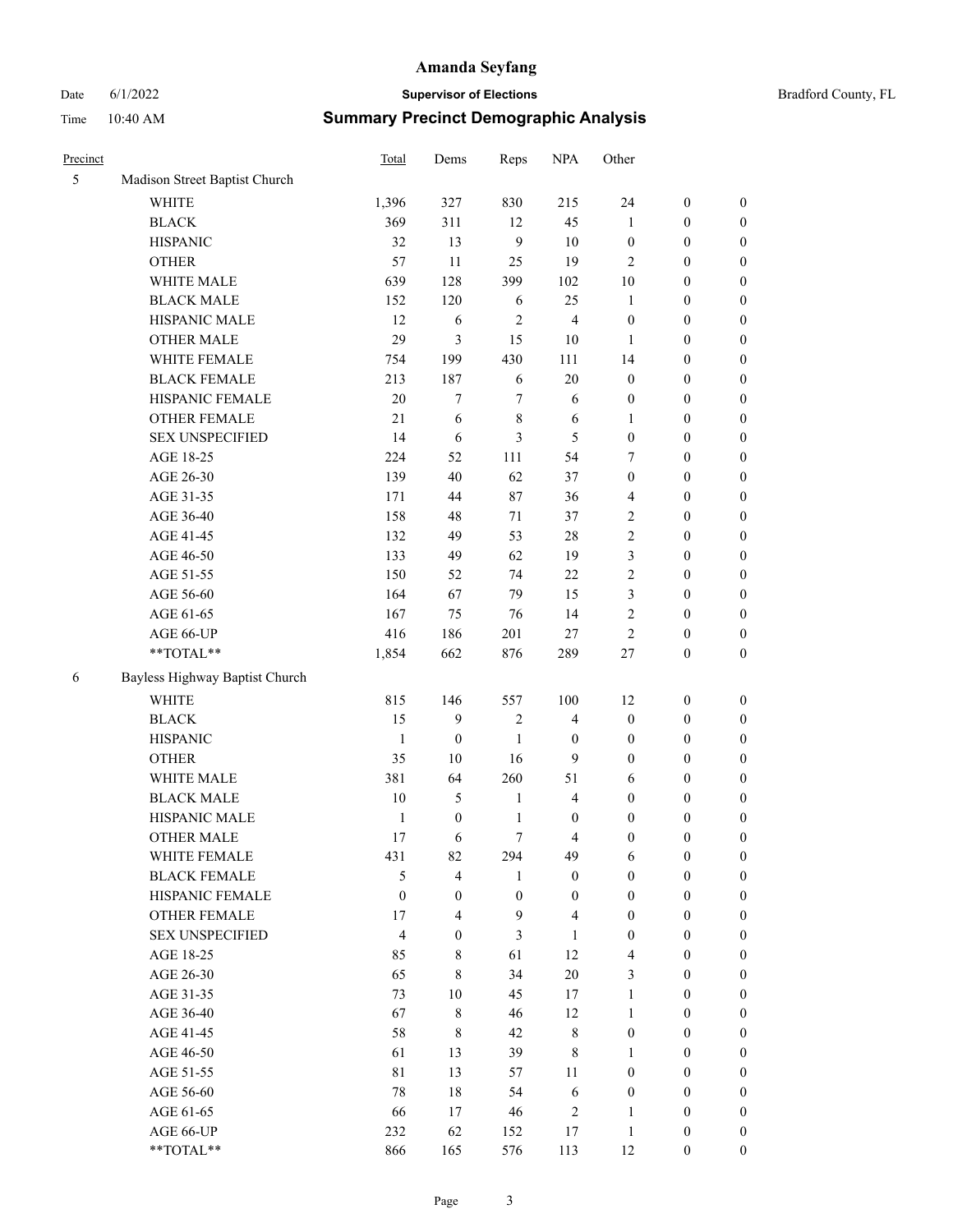# Date 6/1/2022 **Supervisor of Elections Supervisor of Elections** Bradford County, FL Time 10:40 AM **Summary Precinct Demographic Analysis**

| 5 | Madison Street Baptist Church  |                |                  |                  |                         |                  |                  |                  |
|---|--------------------------------|----------------|------------------|------------------|-------------------------|------------------|------------------|------------------|
|   | WHITE                          | 1,396          | 327              | 830              | 215                     | 24               | $\boldsymbol{0}$ | $\boldsymbol{0}$ |
|   | <b>BLACK</b>                   | 369            | 311              | 12               | 45                      | 1                | $\boldsymbol{0}$ | $\boldsymbol{0}$ |
|   | <b>HISPANIC</b>                | 32             | 13               | 9                | 10                      | $\boldsymbol{0}$ | $\boldsymbol{0}$ | $\boldsymbol{0}$ |
|   | <b>OTHER</b>                   | 57             | 11               | 25               | 19                      | 2                | $\boldsymbol{0}$ | $\boldsymbol{0}$ |
|   | WHITE MALE                     | 639            | 128              | 399              | 102                     | 10               | $\boldsymbol{0}$ | $\boldsymbol{0}$ |
|   | <b>BLACK MALE</b>              | 152            | 120              | 6                | 25                      | 1                | $\boldsymbol{0}$ | $\boldsymbol{0}$ |
|   | HISPANIC MALE                  | 12             | 6                | 2                | $\overline{4}$          | $\boldsymbol{0}$ | $\boldsymbol{0}$ | $\boldsymbol{0}$ |
|   | <b>OTHER MALE</b>              | 29             | 3                | 15               | $10\,$                  | 1                | $\boldsymbol{0}$ | $\boldsymbol{0}$ |
|   | WHITE FEMALE                   | 754            | 199              | 430              | 111                     | 14               | $\boldsymbol{0}$ | $\boldsymbol{0}$ |
|   | <b>BLACK FEMALE</b>            | 213            | 187              | 6                | $20\,$                  | $\boldsymbol{0}$ | $\boldsymbol{0}$ | $\boldsymbol{0}$ |
|   | HISPANIC FEMALE                | 20             | 7                | 7                | 6                       | $\boldsymbol{0}$ | $\boldsymbol{0}$ | $\boldsymbol{0}$ |
|   | OTHER FEMALE                   | 21             | 6                | 8                | 6                       | 1                | $\boldsymbol{0}$ | $\boldsymbol{0}$ |
|   | <b>SEX UNSPECIFIED</b>         | 14             | 6                | 3                | 5                       | $\boldsymbol{0}$ | $\boldsymbol{0}$ | $\boldsymbol{0}$ |
|   | AGE 18-25                      | 224            | 52               | 111              | 54                      | 7                | $\boldsymbol{0}$ | $\boldsymbol{0}$ |
|   | AGE 26-30                      | 139            | 40               | 62               | 37                      | $\boldsymbol{0}$ | $\boldsymbol{0}$ | $\boldsymbol{0}$ |
|   | AGE 31-35                      | 171            | 44               | 87               | 36                      | 4                | $\boldsymbol{0}$ | $\boldsymbol{0}$ |
|   | AGE 36-40                      | 158            | 48               | 71               | 37                      | $\overline{c}$   | $\boldsymbol{0}$ | $\boldsymbol{0}$ |
|   | AGE 41-45                      | 132            | 49               | 53               | 28                      | $\overline{c}$   | $\boldsymbol{0}$ | $\boldsymbol{0}$ |
|   | AGE 46-50                      | 133            | 49               | 62               | 19                      | 3                | $\boldsymbol{0}$ | $\boldsymbol{0}$ |
|   | AGE 51-55                      | 150            | 52               | 74               | $22\,$                  | $\overline{c}$   | $\boldsymbol{0}$ | $\boldsymbol{0}$ |
|   | AGE 56-60                      | 164            | 67               | 79               | 15                      | 3                | $\boldsymbol{0}$ | $\boldsymbol{0}$ |
|   | AGE 61-65                      | 167            | 75               | 76               | 14                      | $\overline{c}$   | $\boldsymbol{0}$ | $\boldsymbol{0}$ |
|   | AGE 66-UP                      | 416            | 186              | 201              | 27                      | $\overline{c}$   | $\boldsymbol{0}$ | $\boldsymbol{0}$ |
|   | **TOTAL**                      | 1,854          | 662              | 876              | 289                     | $27\,$           | $\boldsymbol{0}$ | $\boldsymbol{0}$ |
| 6 | Bayless Highway Baptist Church |                |                  |                  |                         |                  |                  |                  |
|   | <b>WHITE</b>                   | 815            | 146              | 557              | 100                     | 12               | $\boldsymbol{0}$ | $\boldsymbol{0}$ |
|   | <b>BLACK</b>                   | 15             | 9                | 2                | $\overline{4}$          | $\boldsymbol{0}$ | $\boldsymbol{0}$ | $\boldsymbol{0}$ |
|   | <b>HISPANIC</b>                | $\mathbf{1}$   | $\boldsymbol{0}$ | $\mathbf{1}$     | $\boldsymbol{0}$        | $\boldsymbol{0}$ | $\boldsymbol{0}$ | $\boldsymbol{0}$ |
|   | <b>OTHER</b>                   | 35             | 10               | 16               | 9                       | $\boldsymbol{0}$ | $\boldsymbol{0}$ | $\boldsymbol{0}$ |
|   | WHITE MALE                     | 381            | 64               | 260              | 51                      | 6                | $\boldsymbol{0}$ | $\boldsymbol{0}$ |
|   | <b>BLACK MALE</b>              | $10\,$         | 5                | $\mathbf{1}$     | $\overline{4}$          | $\boldsymbol{0}$ | $\boldsymbol{0}$ | $\boldsymbol{0}$ |
|   | HISPANIC MALE                  | 1              | $\boldsymbol{0}$ | 1                | $\boldsymbol{0}$        | $\mathbf{0}$     | $\boldsymbol{0}$ | $\boldsymbol{0}$ |
|   | <b>OTHER MALE</b>              | 17             | 6                | 7                | 4                       | $\boldsymbol{0}$ | $\boldsymbol{0}$ | $\boldsymbol{0}$ |
|   | WHITE FEMALE                   | 431            | 82               | 294              | 49                      | 6                | $\boldsymbol{0}$ | $\boldsymbol{0}$ |
|   | <b>BLACK FEMALE</b>            | 5              | 4                | $\mathbf{1}$     | $\boldsymbol{0}$        | $\boldsymbol{0}$ | $\boldsymbol{0}$ | $\theta$         |
|   | HISPANIC FEMALE                | $\mathbf{0}$   | $\boldsymbol{0}$ | $\boldsymbol{0}$ | $\boldsymbol{0}$        | $\mathbf{0}$     | $\boldsymbol{0}$ | $\theta$         |
|   | <b>OTHER FEMALE</b>            | 17             | 4                | 9                | $\overline{\mathbf{4}}$ | $\boldsymbol{0}$ | $\boldsymbol{0}$ | 0                |
|   | <b>SEX UNSPECIFIED</b>         | $\overline{4}$ | $\boldsymbol{0}$ | 3                | 1                       | $\theta$         | $\boldsymbol{0}$ | 0                |
|   | AGE 18-25                      | 85             | 8                | 61               | 12                      | 4                | $\boldsymbol{0}$ | 0                |
|   | AGE 26-30                      | 65             | 8                | 34               | 20                      | 3                | $\theta$         | 0                |
|   | AGE 31-35                      | 73             | 10               | 45               | 17                      | $\mathbf{1}$     | $\boldsymbol{0}$ | 0                |
|   | AGE 36-40                      | 67             | 8                | 46               | 12                      | 1                | $\boldsymbol{0}$ | 0                |
|   | AGE 41-45                      | 58             | 8                | 42               | $\,$ 8 $\,$             | $\mathbf{0}$     | $\boldsymbol{0}$ | 0                |
|   | AGE 46-50                      | 61             | 13               | 39               | 8                       | 1                | $\boldsymbol{0}$ | 0                |
|   | AGE 51-55                      | 81             | 13               | 57               | 11                      | $\boldsymbol{0}$ | $\boldsymbol{0}$ | 0                |
|   | AGE 56-60                      | $78\,$         | $18\,$           | 54               | $\sqrt{6}$              | $\boldsymbol{0}$ | $\boldsymbol{0}$ | $\boldsymbol{0}$ |

Precinct **Precinct** Constant Dems Reps NPA Other

AGE 61-65 66 17 46 2 1 0 0 AGE 66-UP 232 62 152 17 1 0 0 \*\*TOTAL\*\* 866 165 576 113 12 0 0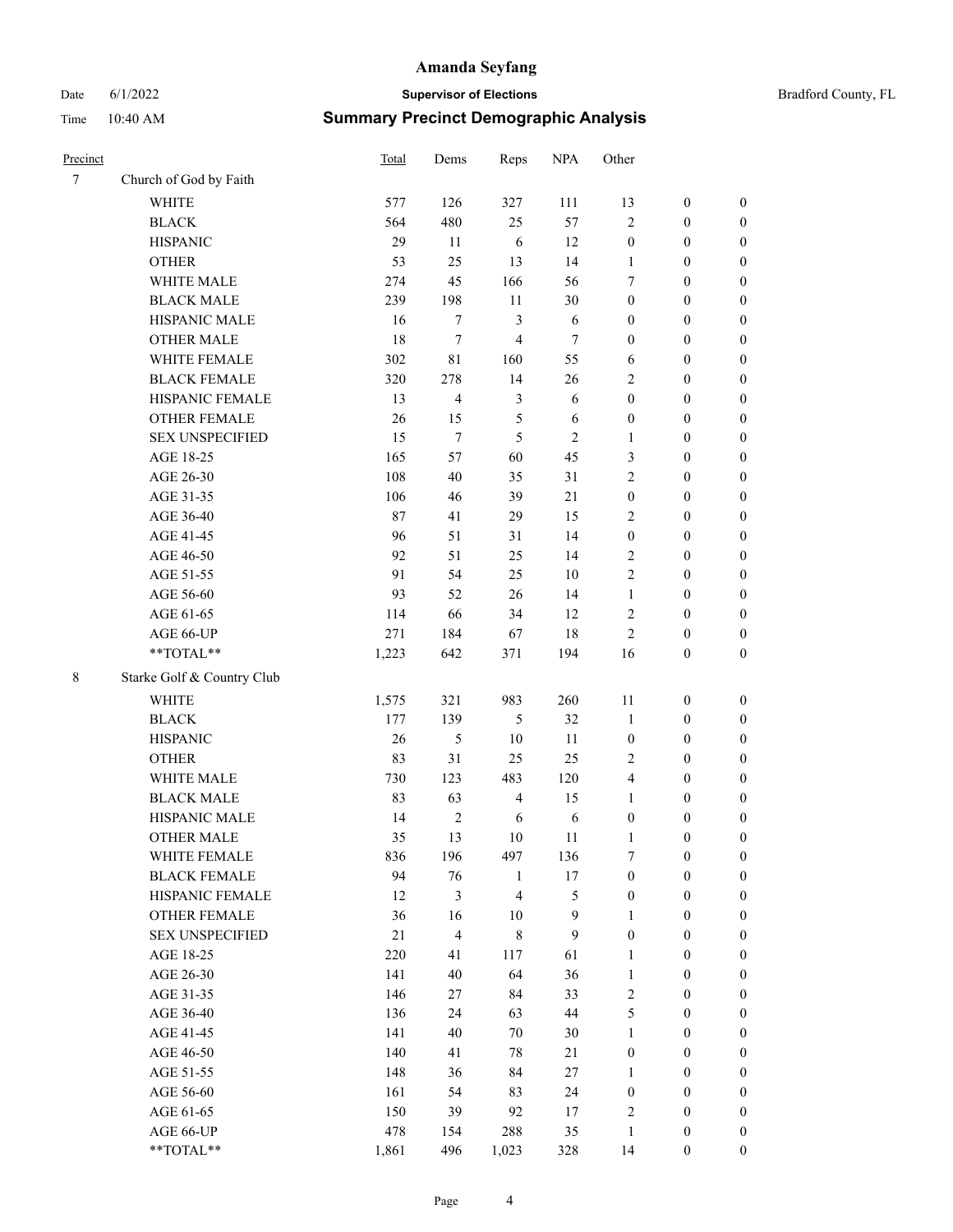# Date 6/1/2022 **Supervisor of Elections** Bradford County, FL

# Time 10:40 AM **Summary Precinct Demographic Analysis**

| Precinct |                            | Total  | Dems           | Reps           | <b>NPA</b>     | Other            |                  |                  |
|----------|----------------------------|--------|----------------|----------------|----------------|------------------|------------------|------------------|
| $\tau$   | Church of God by Faith     |        |                |                |                |                  |                  |                  |
|          | <b>WHITE</b>               | 577    | 126            | 327            | 111            | 13               | $\boldsymbol{0}$ | $\boldsymbol{0}$ |
|          | <b>BLACK</b>               | 564    | 480            | 25             | 57             | $\mathfrak{2}$   | $\boldsymbol{0}$ | $\boldsymbol{0}$ |
|          | <b>HISPANIC</b>            | 29     | 11             | 6              | 12             | $\boldsymbol{0}$ | $\boldsymbol{0}$ | $\boldsymbol{0}$ |
|          | <b>OTHER</b>               | 53     | 25             | 13             | 14             | 1                | $\boldsymbol{0}$ | $\boldsymbol{0}$ |
|          | WHITE MALE                 | 274    | 45             | 166            | 56             | 7                | $\boldsymbol{0}$ | $\boldsymbol{0}$ |
|          | <b>BLACK MALE</b>          | 239    | 198            | 11             | 30             | $\boldsymbol{0}$ | $\boldsymbol{0}$ | $\boldsymbol{0}$ |
|          | HISPANIC MALE              | 16     | $\tau$         | 3              | 6              | $\boldsymbol{0}$ | $\boldsymbol{0}$ | $\boldsymbol{0}$ |
|          | <b>OTHER MALE</b>          | 18     | 7              | $\overline{4}$ | $\tau$         | $\boldsymbol{0}$ | $\boldsymbol{0}$ | $\boldsymbol{0}$ |
|          | WHITE FEMALE               | 302    | 81             | 160            | 55             | 6                | $\boldsymbol{0}$ | $\boldsymbol{0}$ |
|          | <b>BLACK FEMALE</b>        | 320    | 278            | 14             | 26             | $\overline{c}$   | $\boldsymbol{0}$ | $\boldsymbol{0}$ |
|          | HISPANIC FEMALE            | 13     | 4              | $\mathfrak{Z}$ | 6              | $\boldsymbol{0}$ | $\boldsymbol{0}$ | $\boldsymbol{0}$ |
|          | <b>OTHER FEMALE</b>        | 26     | 15             | 5              | 6              | $\boldsymbol{0}$ | $\boldsymbol{0}$ | $\boldsymbol{0}$ |
|          | <b>SEX UNSPECIFIED</b>     | 15     | 7              | 5              | $\overline{c}$ | $\mathbf{1}$     | $\boldsymbol{0}$ | $\boldsymbol{0}$ |
|          | AGE 18-25                  | 165    | 57             | 60             | 45             | 3                | $\boldsymbol{0}$ | $\boldsymbol{0}$ |
|          | AGE 26-30                  | 108    | 40             | 35             | 31             | 2                | $\boldsymbol{0}$ | $\boldsymbol{0}$ |
|          | AGE 31-35                  | 106    | 46             | 39             | 21             | $\boldsymbol{0}$ | $\boldsymbol{0}$ | $\boldsymbol{0}$ |
|          | AGE 36-40                  | $87\,$ | 41             | 29             | 15             | $\overline{c}$   | $\boldsymbol{0}$ | $\boldsymbol{0}$ |
|          | AGE 41-45                  | 96     | 51             | 31             | 14             | $\boldsymbol{0}$ | $\boldsymbol{0}$ | $\boldsymbol{0}$ |
|          | AGE 46-50                  | 92     | 51             | 25             | 14             | $\mathfrak{2}$   | $\boldsymbol{0}$ | $\boldsymbol{0}$ |
|          | AGE 51-55                  | 91     | 54             | 25             | $10\,$         | $\overline{c}$   | $\boldsymbol{0}$ | $\boldsymbol{0}$ |
|          | AGE 56-60                  | 93     | 52             | 26             | 14             | $\mathbf{1}$     | $\boldsymbol{0}$ | 0                |
|          | AGE 61-65                  | 114    | 66             | 34             | 12             | $\overline{c}$   | $\boldsymbol{0}$ | $\boldsymbol{0}$ |
|          | AGE 66-UP                  | 271    | 184            | 67             | 18             | $\mathbf{2}$     | $\boldsymbol{0}$ | $\boldsymbol{0}$ |
|          | $**TOTAL**$                | 1,223  | 642            | 371            | 194            | 16               | $\boldsymbol{0}$ | $\boldsymbol{0}$ |
| 8        | Starke Golf & Country Club |        |                |                |                |                  |                  |                  |
|          |                            |        |                |                |                |                  |                  |                  |
|          | <b>WHITE</b>               | 1,575  | 321            | 983            | 260            | $11\,$           | $\boldsymbol{0}$ | $\boldsymbol{0}$ |
|          | <b>BLACK</b>               | 177    | 139            | $\mathfrak{S}$ | 32             | $\mathbf{1}$     | $\boldsymbol{0}$ | $\boldsymbol{0}$ |
|          | <b>HISPANIC</b>            | 26     | 5              | 10             | 11             | $\boldsymbol{0}$ | $\boldsymbol{0}$ | $\boldsymbol{0}$ |
|          | <b>OTHER</b>               | 83     | 31             | 25             | 25             | $\overline{c}$   | $\boldsymbol{0}$ | $\boldsymbol{0}$ |
|          | WHITE MALE                 | 730    | 123            | 483            | 120            | 4                | $\boldsymbol{0}$ | $\boldsymbol{0}$ |
|          | <b>BLACK MALE</b>          | 83     | 63             | $\overline{4}$ | 15             | $\mathbf{1}$     | $\boldsymbol{0}$ | $\boldsymbol{0}$ |
|          | HISPANIC MALE              | 14     | $\overline{c}$ | 6              | 6              | $\boldsymbol{0}$ | $\boldsymbol{0}$ | $\boldsymbol{0}$ |
|          | <b>OTHER MALE</b>          | 35     | 13             | 10             | 11             | $\mathbf{1}$     | $\boldsymbol{0}$ | $\boldsymbol{0}$ |
|          | WHITE FEMALE               | 836    | 196            | 497            | 136            | 7                | $\boldsymbol{0}$ | 0                |
|          | <b>BLACK FEMALE</b>        | 94     | 76             | $\mathbf{1}$   | 17             | $\boldsymbol{0}$ | $\boldsymbol{0}$ | $\boldsymbol{0}$ |
|          | HISPANIC FEMALE            | 12     | 3              | $\overline{4}$ | 5              | $\boldsymbol{0}$ | $\boldsymbol{0}$ | $\overline{0}$   |
|          | OTHER FEMALE               | 36     | 16             | $10\,$         | 9              | 1                | $\boldsymbol{0}$ | $\overline{0}$   |
|          | <b>SEX UNSPECIFIED</b>     | $21\,$ | 4              | $\,8\,$        | $\mathbf{9}$   | $\boldsymbol{0}$ | $\boldsymbol{0}$ | $\overline{0}$   |
|          | AGE 18-25                  | 220    | 41             | 117            | 61             | $\mathbf{1}$     | $\boldsymbol{0}$ | $\overline{0}$   |
|          | AGE 26-30                  | 141    | 40             | 64             | 36             | $\mathbf{1}$     | $\boldsymbol{0}$ | $\overline{0}$   |
|          | AGE 31-35                  | 146    | 27             | 84             | 33             | $\sqrt{2}$       | $\boldsymbol{0}$ | 0                |
|          | AGE 36-40                  | 136    | 24             | 63             | 44             | 5                | $\boldsymbol{0}$ | 0                |
|          | AGE 41-45                  | 141    | 40             | 70             | 30             | $\mathbf{1}$     | $\boldsymbol{0}$ | 0                |
|          | AGE 46-50                  | 140    | 41             | $78\,$         | 21             | $\boldsymbol{0}$ | $\boldsymbol{0}$ | 0                |
|          | AGE 51-55                  | 148    | 36             | 84             | 27             | $\mathbf{1}$     | $\boldsymbol{0}$ | $\boldsymbol{0}$ |
|          | AGE 56-60                  | 161    | 54             | 83             | 24             | $\boldsymbol{0}$ | $\boldsymbol{0}$ | $\boldsymbol{0}$ |
|          | AGE 61-65                  | 150    | 39             | 92             | 17             | $\overline{c}$   | $\boldsymbol{0}$ | $\boldsymbol{0}$ |
|          | AGE 66-UP                  | 478    | 154            | 288            | 35             | $\mathbf{1}$     | $\boldsymbol{0}$ | $\boldsymbol{0}$ |
|          | **TOTAL**                  | 1,861  | 496            | 1,023          | 328            | 14               | $\boldsymbol{0}$ | $\boldsymbol{0}$ |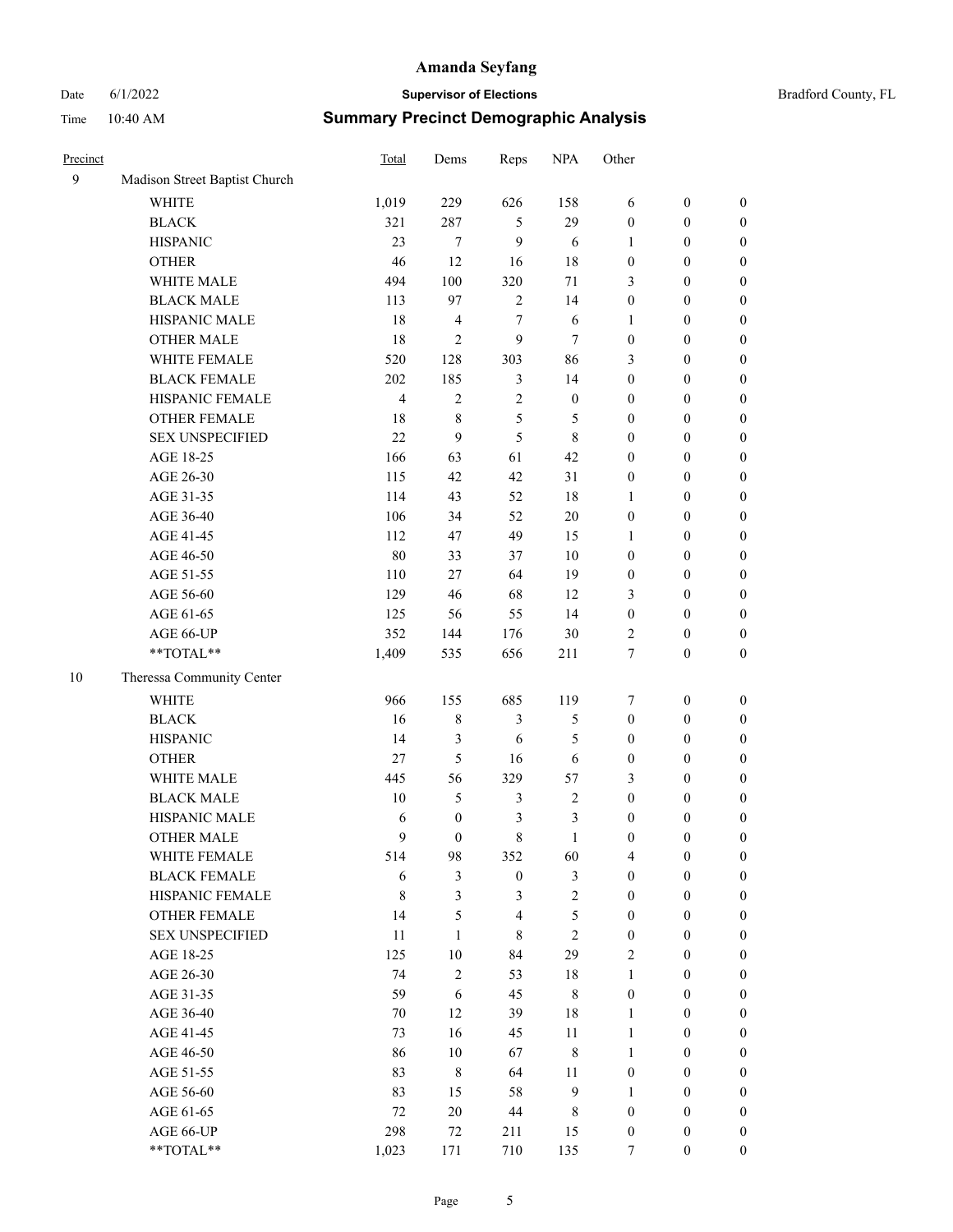# Date 6/1/2022 **Supervisor of Elections** Bradford County, FL Time 10:40 AM **Summary Precinct Demographic Analysis**

| Precinct |                               | Total          | Dems             | Reps             | <b>NPA</b>       | Other            |                  |                  |
|----------|-------------------------------|----------------|------------------|------------------|------------------|------------------|------------------|------------------|
| 9        | Madison Street Baptist Church |                |                  |                  |                  |                  |                  |                  |
|          | <b>WHITE</b>                  | 1,019          | 229              | 626              | 158              | 6                | $\boldsymbol{0}$ | $\boldsymbol{0}$ |
|          | <b>BLACK</b>                  | 321            | 287              | 5                | 29               | $\boldsymbol{0}$ | $\boldsymbol{0}$ | $\boldsymbol{0}$ |
|          | <b>HISPANIC</b>               | 23             | 7                | $\mathbf{9}$     | 6                | 1                | $\boldsymbol{0}$ | $\boldsymbol{0}$ |
|          | <b>OTHER</b>                  | 46             | 12               | 16               | 18               | $\boldsymbol{0}$ | $\boldsymbol{0}$ | $\boldsymbol{0}$ |
|          | WHITE MALE                    | 494            | 100              | 320              | 71               | 3                | $\boldsymbol{0}$ | 0                |
|          | <b>BLACK MALE</b>             | 113            | 97               | $\overline{2}$   | 14               | $\boldsymbol{0}$ | $\boldsymbol{0}$ | $\boldsymbol{0}$ |
|          | HISPANIC MALE                 | 18             | 4                | $\tau$           | 6                | $\mathbf{1}$     | $\boldsymbol{0}$ | $\boldsymbol{0}$ |
|          | <b>OTHER MALE</b>             | 18             | $\overline{c}$   | 9                | 7                | $\boldsymbol{0}$ | $\boldsymbol{0}$ | $\boldsymbol{0}$ |
|          | WHITE FEMALE                  | 520            | 128              | 303              | 86               | 3                | $\boldsymbol{0}$ | $\boldsymbol{0}$ |
|          | <b>BLACK FEMALE</b>           | 202            | 185              | 3                | 14               | $\boldsymbol{0}$ | $\boldsymbol{0}$ | $\boldsymbol{0}$ |
|          | HISPANIC FEMALE               | $\overline{4}$ | $\overline{c}$   | $\sqrt{2}$       | $\boldsymbol{0}$ | $\boldsymbol{0}$ | $\boldsymbol{0}$ | $\boldsymbol{0}$ |
|          | OTHER FEMALE                  | 18             | 8                | $\mathfrak{S}$   | 5                | $\boldsymbol{0}$ | $\boldsymbol{0}$ | $\boldsymbol{0}$ |
|          | <b>SEX UNSPECIFIED</b>        | 22             | 9                | 5                | $\,8\,$          | $\boldsymbol{0}$ | $\boldsymbol{0}$ | $\boldsymbol{0}$ |
|          | AGE 18-25                     | 166            | 63               | 61               | 42               | $\boldsymbol{0}$ | $\boldsymbol{0}$ | $\boldsymbol{0}$ |
|          | AGE 26-30                     | 115            | 42               | 42               | 31               | $\boldsymbol{0}$ | $\boldsymbol{0}$ | 0                |
|          | AGE 31-35                     | 114            | 43               | 52               | $18\,$           | 1                | $\boldsymbol{0}$ | $\boldsymbol{0}$ |
|          | AGE 36-40                     | 106            | 34               | 52               | $20\,$           | $\boldsymbol{0}$ | $\boldsymbol{0}$ | $\boldsymbol{0}$ |
|          | AGE 41-45                     | 112            | 47               | 49               | 15               | 1                | $\boldsymbol{0}$ | $\boldsymbol{0}$ |
|          | AGE 46-50                     | 80             | 33               | 37               | 10               | $\boldsymbol{0}$ | $\boldsymbol{0}$ | $\boldsymbol{0}$ |
|          | AGE 51-55                     | 110            | 27               | 64               | 19               | $\boldsymbol{0}$ | $\boldsymbol{0}$ | $\boldsymbol{0}$ |
|          | AGE 56-60                     | 129            | 46               | 68               | 12               | 3                | $\boldsymbol{0}$ | $\boldsymbol{0}$ |
|          | AGE 61-65                     | 125            | 56               | 55               | 14               | $\boldsymbol{0}$ | $\boldsymbol{0}$ | $\boldsymbol{0}$ |
|          | AGE 66-UP                     | 352            | 144              | 176              | 30               | $\overline{c}$   | $\boldsymbol{0}$ | $\boldsymbol{0}$ |
|          | **TOTAL**                     | 1,409          | 535              | 656              | 211              | 7                | $\boldsymbol{0}$ | $\boldsymbol{0}$ |
| 10       | Theressa Community Center     |                |                  |                  |                  |                  |                  |                  |
|          | WHITE                         | 966            | 155              | 685              | 119              | 7                | $\boldsymbol{0}$ | $\boldsymbol{0}$ |
|          | <b>BLACK</b>                  | 16             | 8                | 3                | 5                | $\boldsymbol{0}$ | $\boldsymbol{0}$ | $\boldsymbol{0}$ |
|          | <b>HISPANIC</b>               | 14             | 3                | 6                | 5                | $\boldsymbol{0}$ | $\boldsymbol{0}$ | 0                |
|          | <b>OTHER</b>                  | $27\,$         | 5                | 16               | 6                | $\boldsymbol{0}$ | $\boldsymbol{0}$ | $\boldsymbol{0}$ |
|          | WHITE MALE                    | 445            | 56               | 329              | 57               | 3                | $\boldsymbol{0}$ | $\boldsymbol{0}$ |
|          | <b>BLACK MALE</b>             | 10             | 5                | $\mathfrak{Z}$   | 2                | $\boldsymbol{0}$ | $\boldsymbol{0}$ | $\boldsymbol{0}$ |
|          | HISPANIC MALE                 | 6              | $\boldsymbol{0}$ | 3                | 3                | $\boldsymbol{0}$ | $\boldsymbol{0}$ | $\boldsymbol{0}$ |
|          | <b>OTHER MALE</b>             | 9              | $\boldsymbol{0}$ | 8                | 1                | $\boldsymbol{0}$ | $\boldsymbol{0}$ | $\boldsymbol{0}$ |
|          | WHITE FEMALE                  | 514            | 98               | 352              | 60               | 4                | $\boldsymbol{0}$ | $\overline{0}$   |
|          | <b>BLACK FEMALE</b>           | 6              | $\mathfrak{Z}$   | $\boldsymbol{0}$ | 3                | $\boldsymbol{0}$ | $\boldsymbol{0}$ | 0                |
|          | HISPANIC FEMALE               | $\,$ 8 $\,$    | $\mathfrak{Z}$   | $\mathfrak{Z}$   | $\overline{c}$   | $\boldsymbol{0}$ | $\boldsymbol{0}$ | $\overline{0}$   |
|          | <b>OTHER FEMALE</b>           | 14             | 5                | $\overline{4}$   | 5                | $\boldsymbol{0}$ | $\boldsymbol{0}$ | 0                |
|          | <b>SEX UNSPECIFIED</b>        | 11             | $\mathbf{1}$     | $\,8\,$          | $\sqrt{2}$       | $\boldsymbol{0}$ | $\boldsymbol{0}$ | 0                |
|          | AGE 18-25                     | 125            | $10\,$           | 84               | 29               | $\overline{c}$   | $\boldsymbol{0}$ | $\overline{0}$   |
|          | AGE 26-30                     | 74             | $\overline{c}$   | 53               | $18\,$           | $\mathbf{1}$     | $\boldsymbol{0}$ | $\boldsymbol{0}$ |
|          | AGE 31-35                     | 59             | 6                | 45               | $\,$ 8 $\,$      | $\boldsymbol{0}$ | $\boldsymbol{0}$ | $\boldsymbol{0}$ |
|          | AGE 36-40                     | 70             | 12               | 39               | 18               | $\mathbf{1}$     | $\boldsymbol{0}$ | $\overline{0}$   |
|          | AGE 41-45                     | 73             | 16               | 45               | 11               | $\mathbf{1}$     | $\boldsymbol{0}$ | $\boldsymbol{0}$ |
|          | AGE 46-50                     | 86             | 10               | 67               | $\,$ $\,$        | $\mathbf{1}$     | $\boldsymbol{0}$ | $\overline{0}$   |
|          | AGE 51-55                     | 83             | $\,$ 8 $\,$      | 64               | 11               | $\boldsymbol{0}$ | $\boldsymbol{0}$ | $\overline{0}$   |
|          | AGE 56-60                     | 83             | 15               | 58               | $\boldsymbol{9}$ | $\mathbf{1}$     | $\boldsymbol{0}$ | $\boldsymbol{0}$ |
|          | AGE 61-65                     | $72\,$         | $20\,$           | $44\,$           | $\,$ 8 $\,$      | $\boldsymbol{0}$ | $\boldsymbol{0}$ | 0                |
|          | AGE 66-UP                     | 298            | $72\,$           | 211              | 15               | $\boldsymbol{0}$ | $\boldsymbol{0}$ | 0                |
|          | $**TOTAL**$                   | 1,023          | 171              | 710              | 135              | 7                | $\boldsymbol{0}$ | $\boldsymbol{0}$ |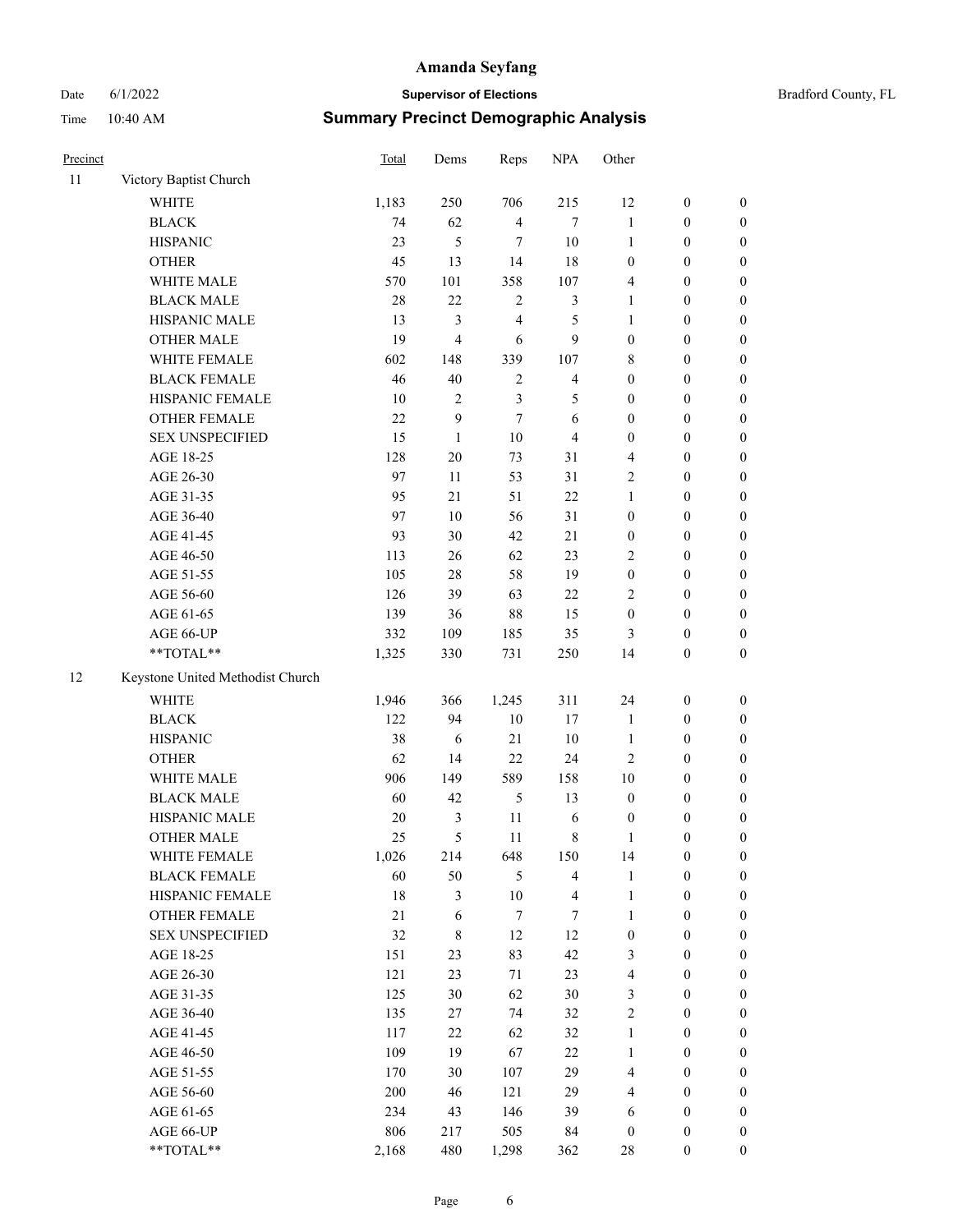# Date 6/1/2022 **Supervisor of Elections** Time 10:40 AM **Summary Precinct Demographic Analysis**

| Precinct |                                  | <b>Total</b> | Dems   | Reps             | <b>NPA</b>     | Other            |                  |                  |
|----------|----------------------------------|--------------|--------|------------------|----------------|------------------|------------------|------------------|
| 11       | Victory Baptist Church           |              |        |                  |                |                  |                  |                  |
|          | <b>WHITE</b>                     | 1,183        | 250    | 706              | 215            | 12               | $\boldsymbol{0}$ | 0                |
|          | <b>BLACK</b>                     | 74           | 62     | $\overline{4}$   | 7              | $\mathbf{1}$     | $\boldsymbol{0}$ | $\boldsymbol{0}$ |
|          | <b>HISPANIC</b>                  | 23           | 5      | 7                | 10             | 1                | $\boldsymbol{0}$ | $\boldsymbol{0}$ |
|          | <b>OTHER</b>                     | 45           | 13     | 14               | 18             | $\boldsymbol{0}$ | $\boldsymbol{0}$ | $\boldsymbol{0}$ |
|          | WHITE MALE                       | 570          | 101    | 358              | 107            | 4                | $\boldsymbol{0}$ | $\boldsymbol{0}$ |
|          | <b>BLACK MALE</b>                | 28           | 22     | $\sqrt{2}$       | 3              | $\mathbf{1}$     | $\boldsymbol{0}$ | $\boldsymbol{0}$ |
|          | HISPANIC MALE                    | 13           | 3      | $\overline{4}$   | 5              | $\mathbf{1}$     | $\boldsymbol{0}$ | $\boldsymbol{0}$ |
|          | <b>OTHER MALE</b>                | 19           | 4      | 6                | 9              | $\boldsymbol{0}$ | $\boldsymbol{0}$ | 0                |
|          | WHITE FEMALE                     | 602          | 148    | 339              | 107            | 8                | $\boldsymbol{0}$ | 0                |
|          | <b>BLACK FEMALE</b>              | 46           | 40     | $\overline{2}$   | $\overline{4}$ | $\mathbf{0}$     | $\boldsymbol{0}$ | 0                |
|          | HISPANIC FEMALE                  | 10           | 2      | 3                | 5              | $\boldsymbol{0}$ | $\boldsymbol{0}$ | 0                |
|          | <b>OTHER FEMALE</b>              | 22           | 9      | $\boldsymbol{7}$ | 6              | $\boldsymbol{0}$ | $\boldsymbol{0}$ | $\boldsymbol{0}$ |
|          | <b>SEX UNSPECIFIED</b>           | 15           | 1      | 10               | 4              | $\boldsymbol{0}$ | $\boldsymbol{0}$ | 0                |
|          | AGE 18-25                        | 128          | 20     | 73               | 31             | 4                | $\boldsymbol{0}$ | $\boldsymbol{0}$ |
|          | AGE 26-30                        | 97           | 11     | 53               | 31             | $\sqrt{2}$       | $\boldsymbol{0}$ | $\boldsymbol{0}$ |
|          | AGE 31-35                        | 95           | 21     | 51               | $22\,$         | $\mathbf{1}$     | $\boldsymbol{0}$ | $\boldsymbol{0}$ |
|          | AGE 36-40                        | 97           | 10     | 56               | 31             | $\boldsymbol{0}$ | $\boldsymbol{0}$ | $\boldsymbol{0}$ |
|          | AGE 41-45                        | 93           | 30     | 42               | 21             | $\boldsymbol{0}$ | $\boldsymbol{0}$ | 0                |
|          | AGE 46-50                        | 113          | 26     | 62               | 23             | 2                | $\boldsymbol{0}$ | 0                |
|          | AGE 51-55                        | 105          | 28     | 58               | 19             | $\mathbf{0}$     | $\boldsymbol{0}$ | 0                |
|          | AGE 56-60                        | 126          | 39     | 63               | $22\,$         | 2                | $\boldsymbol{0}$ | 0                |
|          | AGE 61-65                        | 139          | 36     | 88               | 15             | $\boldsymbol{0}$ | $\boldsymbol{0}$ | $\boldsymbol{0}$ |
|          | AGE 66-UP                        | 332          | 109    | 185              | 35             | 3                | $\boldsymbol{0}$ | $\boldsymbol{0}$ |
|          | **TOTAL**                        | 1,325        | 330    | 731              | 250            | 14               | $\boldsymbol{0}$ | 0                |
| 12       | Keystone United Methodist Church |              |        |                  |                |                  |                  |                  |
|          | <b>WHITE</b>                     | 1,946        | 366    | 1,245            | 311            | 24               | $\boldsymbol{0}$ | $\boldsymbol{0}$ |
|          | <b>BLACK</b>                     | 122          | 94     | 10               | 17             | $\mathbf{1}$     | $\boldsymbol{0}$ | $\boldsymbol{0}$ |
|          | <b>HISPANIC</b>                  | 38           | 6      | 21               | 10             | $\mathbf{1}$     | $\boldsymbol{0}$ | 0                |
|          | <b>OTHER</b>                     | 62           | 14     | 22               | 24             | $\overline{c}$   | $\boldsymbol{0}$ | 0                |
|          | WHITE MALE                       | 906          | 149    | 589              | 158            | 10               | $\boldsymbol{0}$ | 0                |
|          | <b>BLACK MALE</b>                | 60           | 42     | 5                | 13             | $\boldsymbol{0}$ | $\boldsymbol{0}$ | 0                |
|          | HISPANIC MALE                    | 20           | 3      | 11               | 6              | $\mathbf{0}$     | $\boldsymbol{0}$ | $\boldsymbol{0}$ |
|          | <b>OTHER MALE</b>                | 25           | 5      | 11               | $\,$ 8 $\,$    | 1                | $\boldsymbol{0}$ | 0                |
|          | WHITE FEMALE                     | 1,026        | 214    | 648              | 150            | 14               | $\boldsymbol{0}$ | 0                |
|          | <b>BLACK FEMALE</b>              | 60           | 50     | $\mathfrak{H}$   | $\overline{4}$ | $\mathbf{1}$     | $\boldsymbol{0}$ | $\boldsymbol{0}$ |
|          | HISPANIC FEMALE                  | $18\,$       | 3      | 10               | $\overline{4}$ | $\mathbf{1}$     | $\boldsymbol{0}$ | $\overline{0}$   |
|          | OTHER FEMALE                     | 21           | 6      | 7                | 7              | 1                | $\boldsymbol{0}$ | $\overline{0}$   |
|          | <b>SEX UNSPECIFIED</b>           | 32           | 8      | 12               | 12             | $\boldsymbol{0}$ | $\boldsymbol{0}$ | $\overline{0}$   |
|          | AGE 18-25                        | 151          | 23     | 83               | 42             | 3                | $\boldsymbol{0}$ | $\boldsymbol{0}$ |
|          | AGE 26-30                        | 121          | 23     | 71               | 23             | $\overline{4}$   | $\boldsymbol{0}$ | $\overline{0}$   |
|          | AGE 31-35                        | 125          | 30     | 62               | 30             | 3                | $\boldsymbol{0}$ | 0                |
|          | AGE 36-40                        | 135          | 27     | 74               | 32             | $\overline{2}$   | $\overline{0}$   | 0                |
|          | AGE 41-45                        | 117          | $22\,$ | 62               | 32             | $\mathbf{1}$     | $\boldsymbol{0}$ | 0                |
|          | AGE 46-50                        | 109          | 19     | 67               | $22\,$         | $\mathbf{1}$     | $\boldsymbol{0}$ | $\boldsymbol{0}$ |
|          |                                  |              |        |                  |                |                  |                  |                  |

AGE 51-55 170 30 107 29 4 0 0 AGE 56-60 200 46 121 29 4 0 0 AGE 61-65 234 43 146 39 6 0 0 AGE 66-UP 806 217 505 84 0 0 0 \*\*TOTAL\*\* 2,168 480 1,298 362 28 0 0